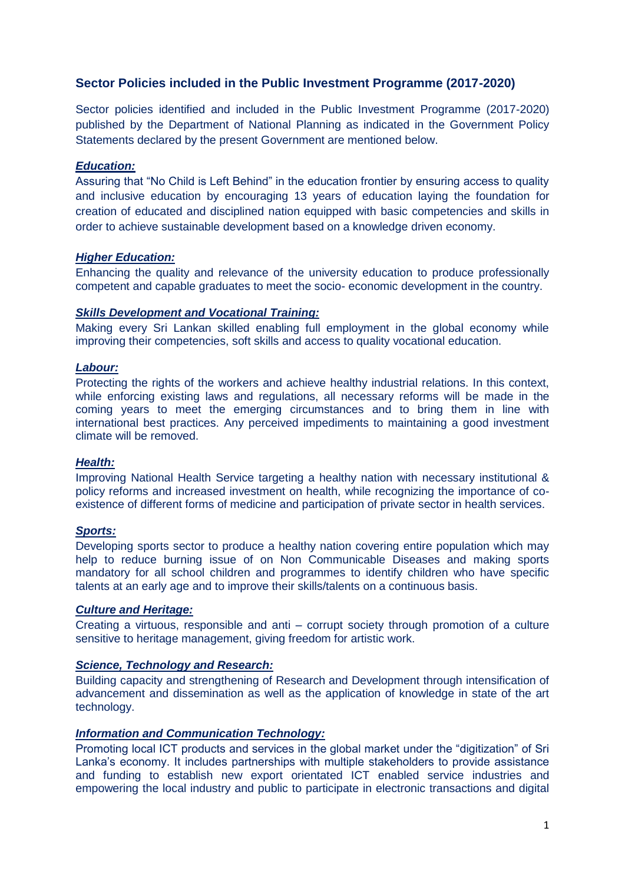# **Sector Policies included in the Public Investment Programme (2017-2020)**

Sector policies identified and included in the Public Investment Programme (2017-2020) published by the Department of National Planning as indicated in the Government Policy Statements declared by the present Government are mentioned below.

# *Education:*

Assuring that "No Child is Left Behind" in the education frontier by ensuring access to quality and inclusive education by encouraging 13 years of education laying the foundation for creation of educated and disciplined nation equipped with basic competencies and skills in order to achieve sustainable development based on a knowledge driven economy.

## *Higher Education:*

Enhancing the quality and relevance of the university education to produce professionally competent and capable graduates to meet the socio- economic development in the country.

## *Skills Development and Vocational Training:*

Making every Sri Lankan skilled enabling full employment in the global economy while improving their competencies, soft skills and access to quality vocational education.

## *Labour:*

Protecting the rights of the workers and achieve healthy industrial relations. In this context, while enforcing existing laws and regulations, all necessary reforms will be made in the coming years to meet the emerging circumstances and to bring them in line with international best practices. Any perceived impediments to maintaining a good investment climate will be removed.

#### *Health:*

Improving National Health Service targeting a healthy nation with necessary institutional & policy reforms and increased investment on health, while recognizing the importance of coexistence of different forms of medicine and participation of private sector in health services.

## *Sports:*

Developing sports sector to produce a healthy nation covering entire population which may help to reduce burning issue of on Non Communicable Diseases and making sports mandatory for all school children and programmes to identify children who have specific talents at an early age and to improve their skills/talents on a continuous basis.

#### *Culture and Heritage:*

Creating a virtuous, responsible and anti – corrupt society through promotion of a culture sensitive to heritage management, giving freedom for artistic work.

### *Science, Technology and Research:*

Building capacity and strengthening of Research and Development through intensification of advancement and dissemination as well as the application of knowledge in state of the art technology.

## *Information and Communication Technology:*

Promoting local ICT products and services in the global market under the "digitization" of Sri Lanka's economy. It includes partnerships with multiple stakeholders to provide assistance and funding to establish new export orientated ICT enabled service industries and empowering the local industry and public to participate in electronic transactions and digital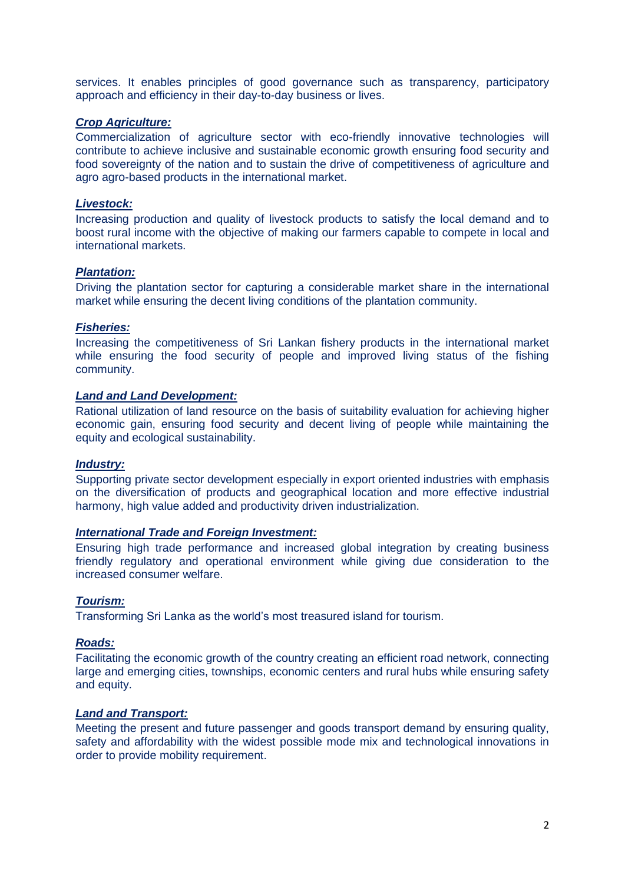services. It enables principles of good governance such as transparency, participatory approach and efficiency in their day-to-day business or lives.

## *Crop Agriculture:*

Commercialization of agriculture sector with eco-friendly innovative technologies will contribute to achieve inclusive and sustainable economic growth ensuring food security and food sovereignty of the nation and to sustain the drive of competitiveness of agriculture and agro agro-based products in the international market.

## *Livestock:*

Increasing production and quality of livestock products to satisfy the local demand and to boost rural income with the objective of making our farmers capable to compete in local and international markets.

# *Plantation:*

Driving the plantation sector for capturing a considerable market share in the international market while ensuring the decent living conditions of the plantation community.

## *Fisheries:*

Increasing the competitiveness of Sri Lankan fishery products in the international market while ensuring the food security of people and improved living status of the fishing community.

## *Land and Land Development:*

Rational utilization of land resource on the basis of suitability evaluation for achieving higher economic gain, ensuring food security and decent living of people while maintaining the equity and ecological sustainability.

### *Industry:*

Supporting private sector development especially in export oriented industries with emphasis on the diversification of products and geographical location and more effective industrial harmony, high value added and productivity driven industrialization.

#### *International Trade and Foreign Investment:*

Ensuring high trade performance and increased global integration by creating business friendly regulatory and operational environment while giving due consideration to the increased consumer welfare.

## *Tourism:*

Transforming Sri Lanka as the world's most treasured island for tourism.

## *Roads:*

Facilitating the economic growth of the country creating an efficient road network, connecting large and emerging cities, townships, economic centers and rural hubs while ensuring safety and equity.

## *Land and Transport:*

Meeting the present and future passenger and goods transport demand by ensuring quality, safety and affordability with the widest possible mode mix and technological innovations in order to provide mobility requirement.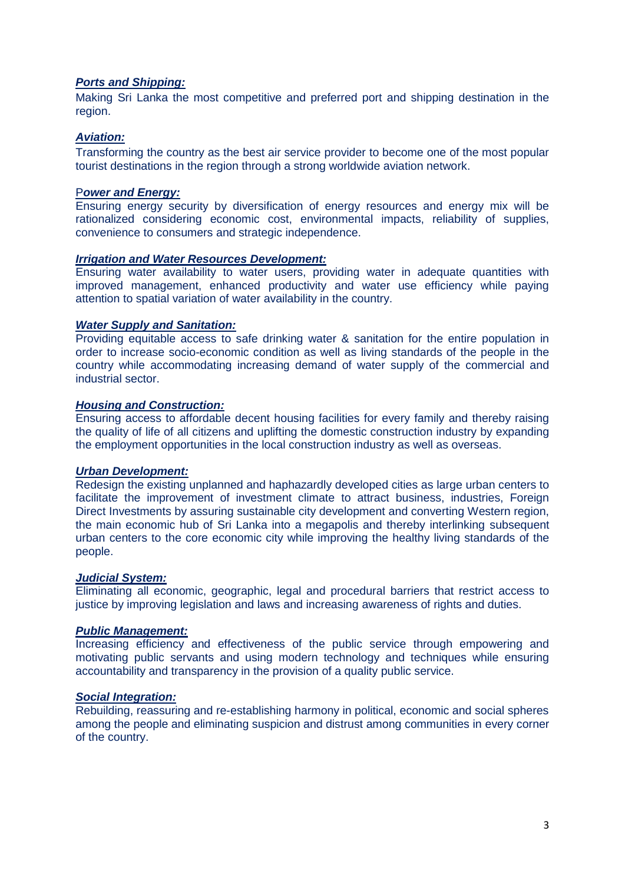## *Ports and Shipping:*

Making Sri Lanka the most competitive and preferred port and shipping destination in the region.

## *Aviation:*

Transforming the country as the best air service provider to become one of the most popular tourist destinations in the region through a strong worldwide aviation network.

### P*ower and Energy:*

Ensuring energy security by diversification of energy resources and energy mix will be rationalized considering economic cost, environmental impacts, reliability of supplies, convenience to consumers and strategic independence.

## *Irrigation and Water Resources Development:*

Ensuring water availability to water users, providing water in adequate quantities with improved management, enhanced productivity and water use efficiency while paying attention to spatial variation of water availability in the country.

# *Water Supply and Sanitation:*

Providing equitable access to safe drinking water & sanitation for the entire population in order to increase socio-economic condition as well as living standards of the people in the country while accommodating increasing demand of water supply of the commercial and industrial sector.

## *Housing and Construction:*

Ensuring access to affordable decent housing facilities for every family and thereby raising the quality of life of all citizens and uplifting the domestic construction industry by expanding the employment opportunities in the local construction industry as well as overseas.

#### *Urban Development:*

Redesign the existing unplanned and haphazardly developed cities as large urban centers to facilitate the improvement of investment climate to attract business, industries, Foreign Direct Investments by assuring sustainable city development and converting Western region, the main economic hub of Sri Lanka into a megapolis and thereby interlinking subsequent urban centers to the core economic city while improving the healthy living standards of the people.

#### *Judicial System:*

Eliminating all economic, geographic, legal and procedural barriers that restrict access to justice by improving legislation and laws and increasing awareness of rights and duties.

#### *Public Management:*

Increasing efficiency and effectiveness of the public service through empowering and motivating public servants and using modern technology and techniques while ensuring accountability and transparency in the provision of a quality public service.

#### *Social Integration:*

Rebuilding, reassuring and re-establishing harmony in political, economic and social spheres among the people and eliminating suspicion and distrust among communities in every corner of the country.